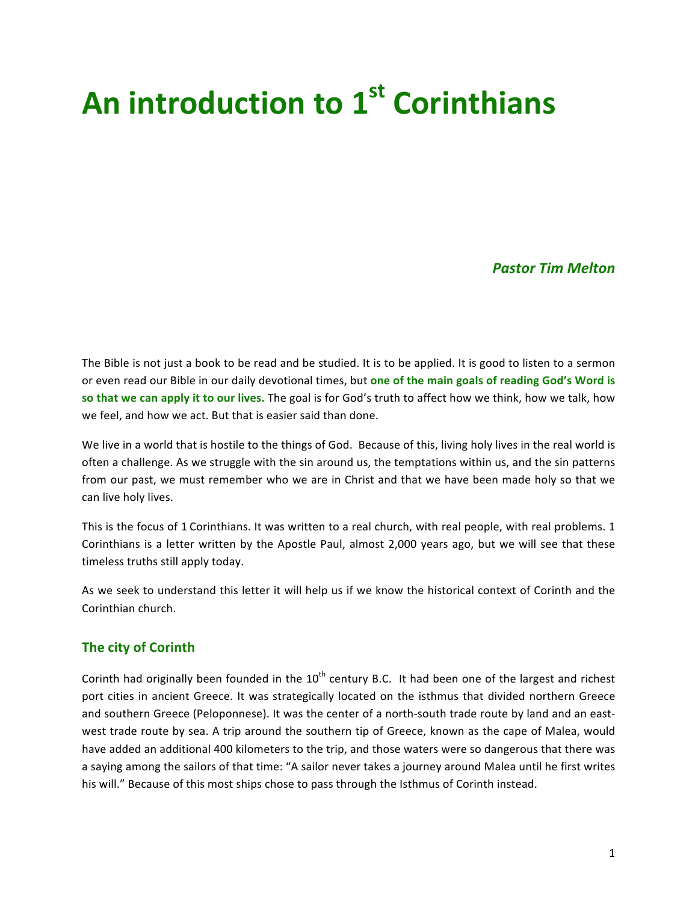# **An introduction to 1st Corinthians**

## *Pastor Tim Melton*

The Bible is not just a book to be read and be studied. It is to be applied. It is good to listen to a sermon or even read our Bible in our daily devotional times, but one of the main goals of reading God's Word is so that we can apply it to our lives. The goal is for God's truth to affect how we think, how we talk, how we feel, and how we act. But that is easier said than done.

We live in a world that is hostile to the things of God. Because of this, living holy lives in the real world is often a challenge. As we struggle with the sin around us, the temptations within us, and the sin patterns from our past, we must remember who we are in Christ and that we have been made holy so that we can live holy lives.

This is the focus of 1 Corinthians. It was written to a real church, with real people, with real problems. 1 Corinthians is a letter written by the Apostle Paul, almost 2,000 years ago, but we will see that these timeless truths still apply today.

As we seek to understand this letter it will help us if we know the historical context of Corinth and the Corinthian church.

## **The city of Corinth**

Corinth had originally been founded in the  $10<sup>th</sup>$  century B.C. It had been one of the largest and richest port cities in ancient Greece. It was strategically located on the isthmus that divided northern Greece and southern Greece (Peloponnese). It was the center of a north-south trade route by land and an eastwest trade route by sea. A trip around the southern tip of Greece, known as the cape of Malea, would have added an additional 400 kilometers to the trip, and those waters were so dangerous that there was a saying among the sailors of that time: "A sailor never takes a journey around Malea until he first writes his will." Because of this most ships chose to pass through the Isthmus of Corinth instead.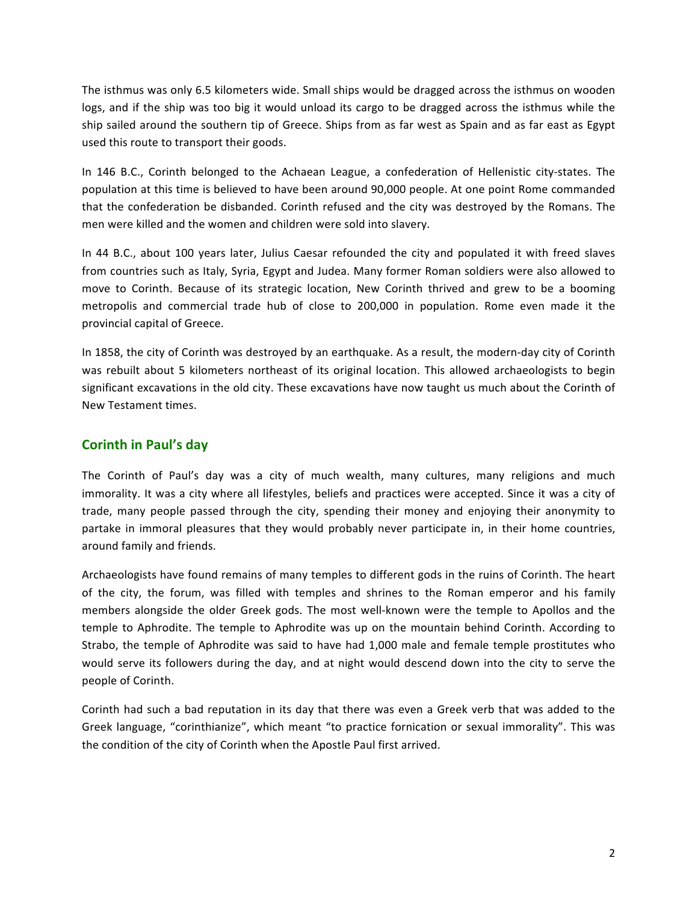The isthmus was only 6.5 kilometers wide. Small ships would be dragged across the isthmus on wooden logs, and if the ship was too big it would unload its cargo to be dragged across the isthmus while the ship sailed around the southern tip of Greece. Ships from as far west as Spain and as far east as Egypt used this route to transport their goods.

In 146 B.C., Corinth belonged to the Achaean League, a confederation of Hellenistic city-states. The population at this time is believed to have been around 90,000 people. At one point Rome commanded that the confederation be disbanded. Corinth refused and the city was destroyed by the Romans. The men were killed and the women and children were sold into slavery.

In 44 B.C., about 100 years later, Julius Caesar refounded the city and populated it with freed slaves from countries such as Italy, Syria, Egypt and Judea. Many former Roman soldiers were also allowed to move to Corinth. Because of its strategic location, New Corinth thrived and grew to be a booming metropolis and commercial trade hub of close to 200,000 in population. Rome even made it the provincial capital of Greece.

In 1858, the city of Corinth was destroyed by an earthquake. As a result, the modern-day city of Corinth was rebuilt about 5 kilometers northeast of its original location. This allowed archaeologists to begin significant excavations in the old city. These excavations have now taught us much about the Corinth of New Testament times.

## **Corinth in Paul's day**

The Corinth of Paul's day was a city of much wealth, many cultures, many religions and much immorality. It was a city where all lifestyles, beliefs and practices were accepted. Since it was a city of trade, many people passed through the city, spending their money and enjoying their anonymity to partake in immoral pleasures that they would probably never participate in, in their home countries, around family and friends.

Archaeologists have found remains of many temples to different gods in the ruins of Corinth. The heart of the city, the forum, was filled with temples and shrines to the Roman emperor and his family members alongside the older Greek gods. The most well-known were the temple to Apollos and the temple to Aphrodite. The temple to Aphrodite was up on the mountain behind Corinth. According to Strabo, the temple of Aphrodite was said to have had 1,000 male and female temple prostitutes who would serve its followers during the day, and at night would descend down into the city to serve the people of Corinth.

Corinth had such a bad reputation in its day that there was even a Greek verb that was added to the Greek language, "corinthianize", which meant "to practice fornication or sexual immorality". This was the condition of the city of Corinth when the Apostle Paul first arrived.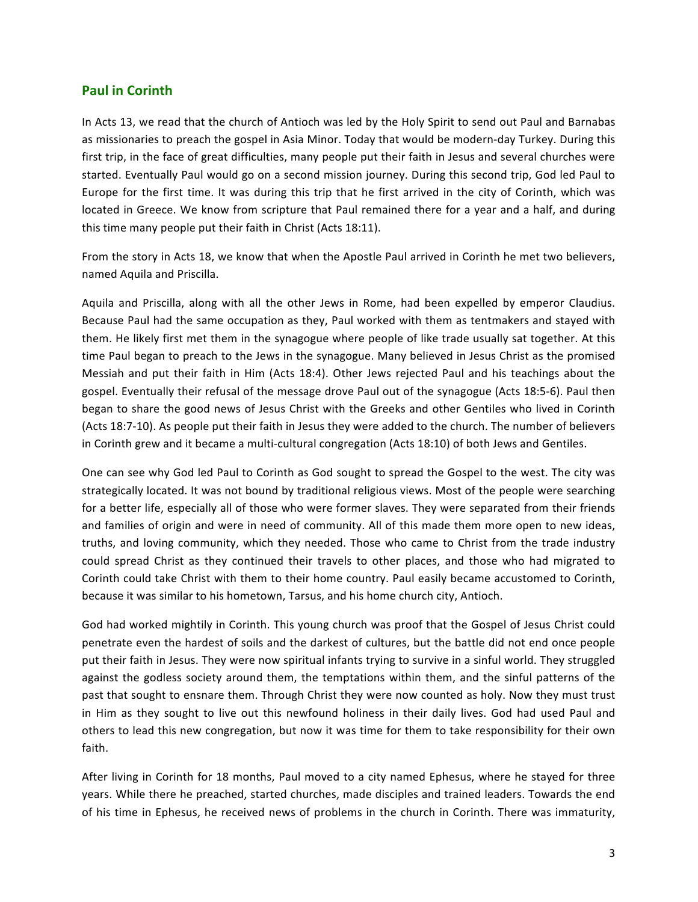#### **Paul in Corinth**

In Acts 13, we read that the church of Antioch was led by the Holy Spirit to send out Paul and Barnabas as missionaries to preach the gospel in Asia Minor. Today that would be modern-day Turkey. During this first trip, in the face of great difficulties, many people put their faith in Jesus and several churches were started. Eventually Paul would go on a second mission journey. During this second trip, God led Paul to Europe for the first time. It was during this trip that he first arrived in the city of Corinth, which was located in Greece. We know from scripture that Paul remained there for a year and a half, and during this time many people put their faith in Christ (Acts 18:11).

From the story in Acts 18, we know that when the Apostle Paul arrived in Corinth he met two believers, named Aquila and Priscilla.

Aquila and Priscilla, along with all the other Jews in Rome, had been expelled by emperor Claudius. Because Paul had the same occupation as they, Paul worked with them as tentmakers and stayed with them. He likely first met them in the synagogue where people of like trade usually sat together. At this time Paul began to preach to the Jews in the synagogue. Many believed in Jesus Christ as the promised Messiah and put their faith in Him (Acts 18:4). Other Jews rejected Paul and his teachings about the gospel. Eventually their refusal of the message drove Paul out of the synagogue (Acts 18:5-6). Paul then began to share the good news of Jesus Christ with the Greeks and other Gentiles who lived in Corinth (Acts 18:7-10). As people put their faith in Jesus they were added to the church. The number of believers in Corinth grew and it became a multi-cultural congregation (Acts 18:10) of both Jews and Gentiles.

One can see why God led Paul to Corinth as God sought to spread the Gospel to the west. The city was strategically located. It was not bound by traditional religious views. Most of the people were searching for a better life, especially all of those who were former slaves. They were separated from their friends and families of origin and were in need of community. All of this made them more open to new ideas, truths, and loving community, which they needed. Those who came to Christ from the trade industry could spread Christ as they continued their travels to other places, and those who had migrated to Corinth could take Christ with them to their home country. Paul easily became accustomed to Corinth, because it was similar to his hometown, Tarsus, and his home church city, Antioch.

God had worked mightily in Corinth. This young church was proof that the Gospel of Jesus Christ could penetrate even the hardest of soils and the darkest of cultures, but the battle did not end once people put their faith in Jesus. They were now spiritual infants trying to survive in a sinful world. They struggled against the godless society around them, the temptations within them, and the sinful patterns of the past that sought to ensnare them. Through Christ they were now counted as holy. Now they must trust in Him as they sought to live out this newfound holiness in their daily lives. God had used Paul and others to lead this new congregation, but now it was time for them to take responsibility for their own faith.

After living in Corinth for 18 months, Paul moved to a city named Ephesus, where he stayed for three years. While there he preached, started churches, made disciples and trained leaders. Towards the end of his time in Ephesus, he received news of problems in the church in Corinth. There was immaturity,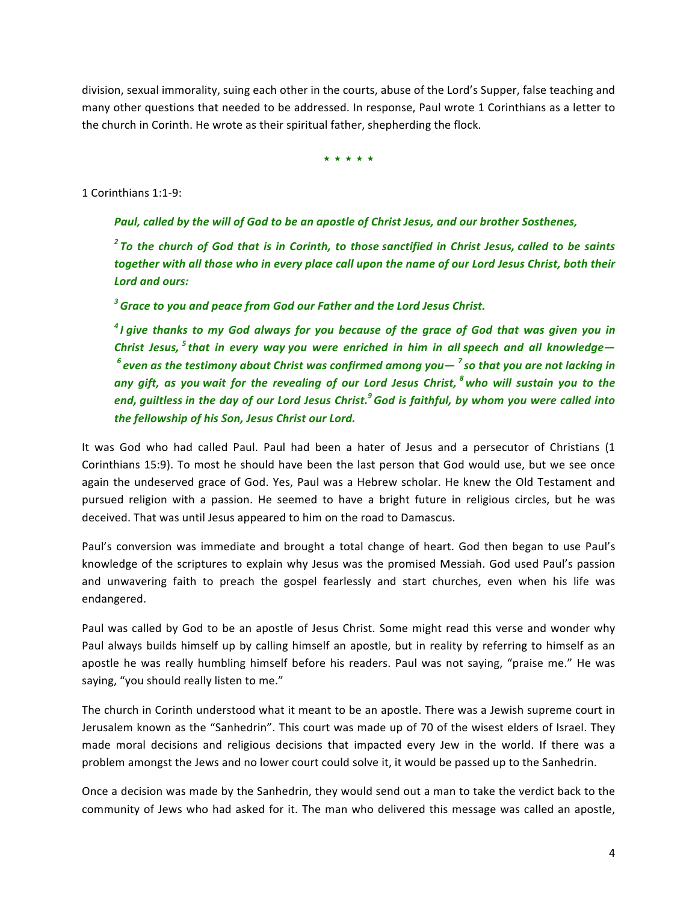division, sexual immorality, suing each other in the courts, abuse of the Lord's Supper, false teaching and many other questions that needed to be addressed. In response, Paul wrote 1 Corinthians as a letter to the church in Corinth. He wrote as their spiritual father, shepherding the flock.

★ ★ ★ ★ ★

1 Corinthians 1:1-9:

**Paul, called by the will of God to be an apostle of Christ Jesus, and our brother Sosthenes,** 

<sup>2</sup> To the church of God that is in Corinth, to those sanctified in Christ Jesus, called to be saints together with all those who in every place call upon the name of our Lord Jesus Christ, both their *Lord and ours:*

<sup>3</sup> Grace to you and peace from God our Father and the Lord Jesus Christ.

<sup>4</sup> *I* give thanks to my God always for you because of the grace of God that was given you in *Christ Jesus,* <sup>5</sup> *that in every way you were enriched in him in all speech and all knowledge f* even as the testimony about Christ was confirmed among you—<sup>7</sup> so that you are not lacking in *any* gift, as you wait for the revealing of our Lord Jesus Christ, <sup>8</sup> who will sustain you to the *end, guiltless in the day of our Lord Jesus Christ.*<sup>9</sup> God is faithful, by whom you were called into *the fellowship of his Son, Jesus Christ our Lord.*

It was God who had called Paul. Paul had been a hater of Jesus and a persecutor of Christians (1 Corinthians 15:9). To most he should have been the last person that God would use, but we see once again the undeserved grace of God. Yes, Paul was a Hebrew scholar. He knew the Old Testament and pursued religion with a passion. He seemed to have a bright future in religious circles, but he was deceived. That was until Jesus appeared to him on the road to Damascus.

Paul's conversion was immediate and brought a total change of heart. God then began to use Paul's knowledge of the scriptures to explain why Jesus was the promised Messiah. God used Paul's passion and unwavering faith to preach the gospel fearlessly and start churches, even when his life was endangered.

Paul was called by God to be an apostle of Jesus Christ. Some might read this verse and wonder why Paul always builds himself up by calling himself an apostle, but in reality by referring to himself as an apostle he was really humbling himself before his readers. Paul was not saying, "praise me." He was saying, "you should really listen to me."

The church in Corinth understood what it meant to be an apostle. There was a Jewish supreme court in Jerusalem known as the "Sanhedrin". This court was made up of 70 of the wisest elders of Israel. They made moral decisions and religious decisions that impacted every Jew in the world. If there was a problem amongst the Jews and no lower court could solve it, it would be passed up to the Sanhedrin.

Once a decision was made by the Sanhedrin, they would send out a man to take the verdict back to the community of Jews who had asked for it. The man who delivered this message was called an apostle,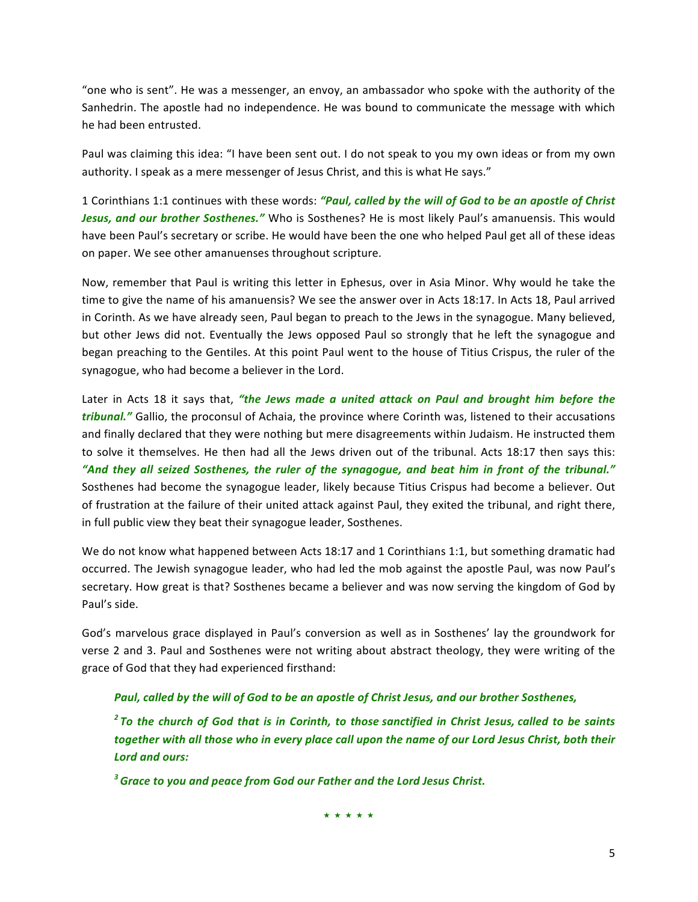"one who is sent". He was a messenger, an envoy, an ambassador who spoke with the authority of the Sanhedrin. The apostle had no independence. He was bound to communicate the message with which he had been entrusted.

Paul was claiming this idea: "I have been sent out. I do not speak to you my own ideas or from my own authority. I speak as a mere messenger of Jesus Christ, and this is what He says."

1 Corinthians 1:1 continues with these words: "Paul, called by the will of God to be an apostle of Christ Jesus, and our brother Sosthenes." Who is Sosthenes? He is most likely Paul's amanuensis. This would have been Paul's secretary or scribe. He would have been the one who helped Paul get all of these ideas on paper. We see other amanuenses throughout scripture.

Now, remember that Paul is writing this letter in Ephesus, over in Asia Minor. Why would he take the time to give the name of his amanuensis? We see the answer over in Acts 18:17. In Acts 18, Paul arrived in Corinth. As we have already seen, Paul began to preach to the Jews in the synagogue. Many believed, but other Jews did not. Eventually the Jews opposed Paul so strongly that he left the synagogue and began preaching to the Gentiles. At this point Paul went to the house of Titius Crispus, the ruler of the synagogue, who had become a believer in the Lord.

Later in Acts 18 it says that, *"the Jews made a united attack on Paul and brought him before the tribunal."* Gallio, the proconsul of Achaia, the province where Corinth was, listened to their accusations and finally declared that they were nothing but mere disagreements within Judaism. He instructed them to solve it themselves. He then had all the Jews driven out of the tribunal. Acts 18:17 then says this: "And they all seized Sosthenes, the ruler of the synagogue, and beat him in front of the tribunal." Sosthenes had become the synagogue leader, likely because Titius Crispus had become a believer. Out of frustration at the failure of their united attack against Paul, they exited the tribunal, and right there, in full public view they beat their synagogue leader, Sosthenes.

We do not know what happened between Acts 18:17 and 1 Corinthians 1:1, but something dramatic had occurred. The Jewish synagogue leader, who had led the mob against the apostle Paul, was now Paul's secretary. How great is that? Sosthenes became a believer and was now serving the kingdom of God by Paul's side.

God's marvelous grace displayed in Paul's conversion as well as in Sosthenes' lay the groundwork for verse 2 and 3. Paul and Sosthenes were not writing about abstract theology, they were writing of the grace of God that they had experienced firsthand:

**Paul, called by the will of God to be an apostle of Christ Jesus, and our brother Sosthenes,** 

*<sup>2</sup>* To the church of God that is in Corinth, to those sanctified in Christ Jesus, called to be saints together with all those who in every place call upon the name of our Lord Jesus Christ, both their *Lord and ours:*

<sup>3</sup> Grace to you and peace from God our Father and the Lord Jesus Christ.

★ ★ ★ ★ ★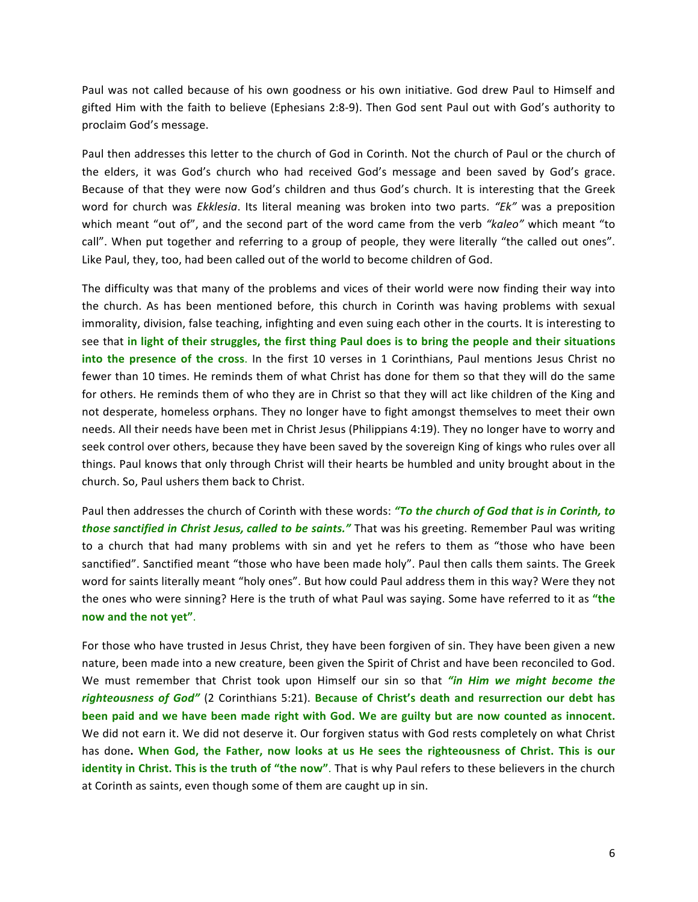Paul was not called because of his own goodness or his own initiative. God drew Paul to Himself and gifted Him with the faith to believe (Ephesians 2:8-9). Then God sent Paul out with God's authority to proclaim God's message.

Paul then addresses this letter to the church of God in Corinth. Not the church of Paul or the church of the elders, it was God's church who had received God's message and been saved by God's grace. Because of that they were now God's children and thus God's church. It is interesting that the Greek word for church was *Ekklesia*. Its literal meaning was broken into two parts. "Ek" was a preposition which meant "out of", and the second part of the word came from the verb "kaleo" which meant "to call". When put together and referring to a group of people, they were literally "the called out ones". Like Paul, they, too, had been called out of the world to become children of God.

The difficulty was that many of the problems and vices of their world were now finding their way into the church. As has been mentioned before, this church in Corinth was having problems with sexual immorality, division, false teaching, infighting and even suing each other in the courts. It is interesting to see that in light of their struggles, the first thing Paul does is to bring the people and their situations **into the presence of the cross**. In the first 10 verses in 1 Corinthians, Paul mentions Jesus Christ no fewer than 10 times. He reminds them of what Christ has done for them so that they will do the same for others. He reminds them of who they are in Christ so that they will act like children of the King and not desperate, homeless orphans. They no longer have to fight amongst themselves to meet their own needs. All their needs have been met in Christ Jesus (Philippians 4:19). They no longer have to worry and seek control over others, because they have been saved by the sovereign King of kings who rules over all things. Paul knows that only through Christ will their hearts be humbled and unity brought about in the church. So, Paul ushers them back to Christ.

Paul then addresses the church of Corinth with these words: "To the church of God that is in Corinth, to *those sanctified in Christ Jesus, called to be saints."* That was his greeting. Remember Paul was writing to a church that had many problems with sin and yet he refers to them as "those who have been sanctified". Sanctified meant "those who have been made holy". Paul then calls them saints. The Greek word for saints literally meant "holy ones". But how could Paul address them in this way? Were they not the ones who were sinning? Here is the truth of what Paul was saying. Some have referred to it as "the **now and the not yet"**.

For those who have trusted in Jesus Christ, they have been forgiven of sin. They have been given a new nature, been made into a new creature, been given the Spirit of Christ and have been reconciled to God. We must remember that Christ took upon Himself our sin so that "in Him we might become the righteousness of God" (2 Corinthians 5:21). Because of Christ's death and resurrection our debt has been paid and we have been made right with God. We are guilty but are now counted as innocent. We did not earn it. We did not deserve it. Our forgiven status with God rests completely on what Christ has done. When God, the Father, now looks at us He sees the righteousness of Christ. This is our **identity** in Christ. This is the truth of "the now". That is why Paul refers to these believers in the church at Corinth as saints, even though some of them are caught up in sin.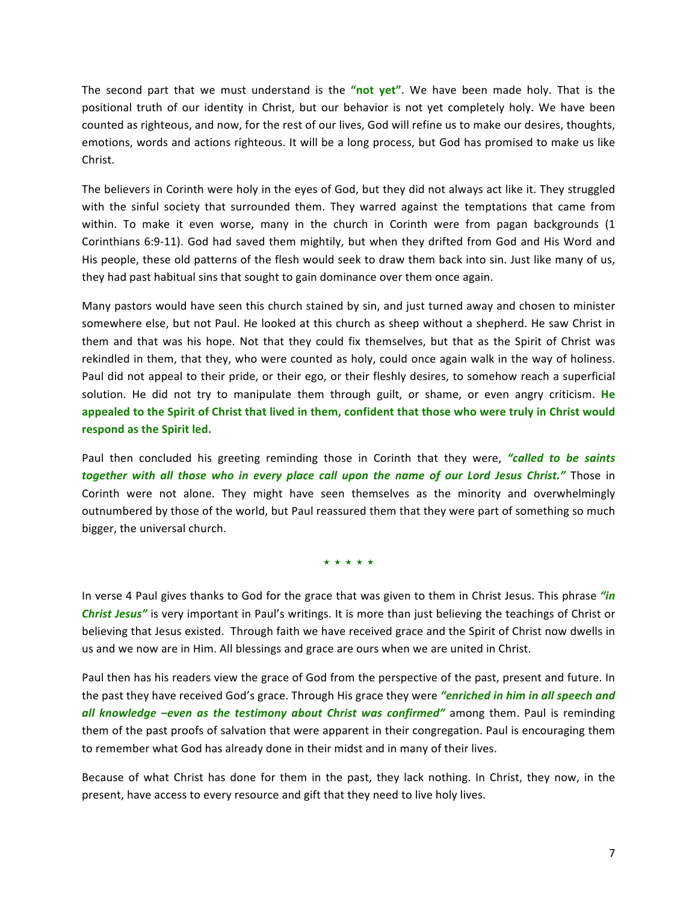The second part that we must understand is the "not yet". We have been made holy. That is the positional truth of our identity in Christ, but our behavior is not yet completely holy. We have been counted as righteous, and now, for the rest of our lives, God will refine us to make our desires, thoughts, emotions, words and actions righteous. It will be a long process, but God has promised to make us like Christ.

The believers in Corinth were holy in the eyes of God, but they did not always act like it. They struggled with the sinful society that surrounded them. They warred against the temptations that came from within. To make it even worse, many in the church in Corinth were from pagan backgrounds (1 Corinthians 6:9-11). God had saved them mightily, but when they drifted from God and His Word and His people, these old patterns of the flesh would seek to draw them back into sin. Just like many of us, they had past habitual sins that sought to gain dominance over them once again.

Many pastors would have seen this church stained by sin, and just turned away and chosen to minister somewhere else, but not Paul. He looked at this church as sheep without a shepherd. He saw Christ in them and that was his hope. Not that they could fix themselves, but that as the Spirit of Christ was rekindled in them, that they, who were counted as holy, could once again walk in the way of holiness. Paul did not appeal to their pride, or their ego, or their fleshly desires, to somehow reach a superficial solution. He did not try to manipulate them through guilt, or shame, or even angry criticism. He appealed to the Spirit of Christ that lived in them, confident that those who were truly in Christ would respond as the Spirit led.

Paul then concluded his greeting reminding those in Corinth that they were, "called to be saints *together with all those who in every place call upon the name of our Lord Jesus Christ."* Those in Corinth were not alone. They might have seen themselves as the minority and overwhelmingly outnumbered by those of the world, but Paul reassured them that they were part of something so much bigger, the universal church.

★ ★ ★ ★ ★

In verse 4 Paul gives thanks to God for the grace that was given to them in Christ Jesus. This phrase "in **Christ Jesus"** is very important in Paul's writings. It is more than just believing the teachings of Christ or believing that Jesus existed. Through faith we have received grace and the Spirit of Christ now dwells in us and we now are in Him. All blessings and grace are ours when we are united in Christ.

Paul then has his readers view the grace of God from the perspective of the past, present and future. In the past they have received God's grace. Through His grace they were "enriched in him in all speech and all knowledge -even as the testimony about Christ was confirmed" among them. Paul is reminding them of the past proofs of salvation that were apparent in their congregation. Paul is encouraging them to remember what God has already done in their midst and in many of their lives.

Because of what Christ has done for them in the past, they lack nothing. In Christ, they now, in the present, have access to every resource and gift that they need to live holy lives.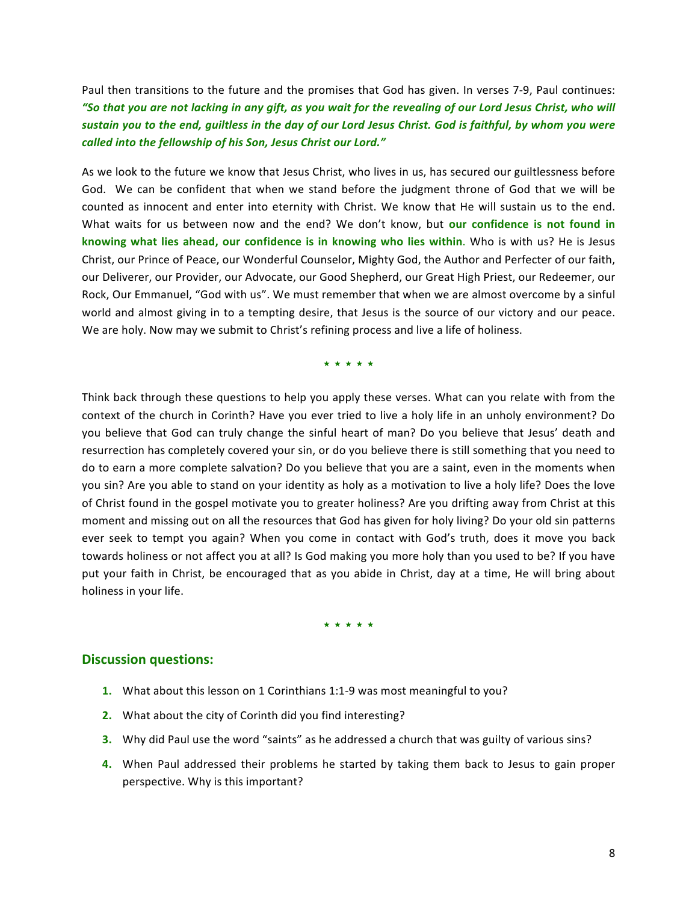Paul then transitions to the future and the promises that God has given. In verses 7-9, Paul continues: "So that you are not lacking in any gift, as you wait for the revealing of our Lord Jesus Christ, who will sustain you to the end, guiltless in the day of our Lord Jesus Christ. God is faithful, by whom you were called into the fellowship of his Son, Jesus Christ our Lord."

As we look to the future we know that Jesus Christ, who lives in us, has secured our guiltlessness before God. We can be confident that when we stand before the judgment throne of God that we will be counted as innocent and enter into eternity with Christ. We know that He will sustain us to the end. What waits for us between now and the end? We don't know, but our confidence is not found in knowing what lies ahead, our confidence is in knowing who lies within. Who is with us? He is Jesus Christ, our Prince of Peace, our Wonderful Counselor, Mighty God, the Author and Perfecter of our faith, our Deliverer, our Provider, our Advocate, our Good Shepherd, our Great High Priest, our Redeemer, our Rock, Our Emmanuel, "God with us". We must remember that when we are almost overcome by a sinful world and almost giving in to a tempting desire, that Jesus is the source of our victory and our peace. We are holy. Now may we submit to Christ's refining process and live a life of holiness.

★ ★ ★ ★ ★

Think back through these questions to help you apply these verses. What can you relate with from the context of the church in Corinth? Have you ever tried to live a holy life in an unholy environment? Do you believe that God can truly change the sinful heart of man? Do you believe that Jesus' death and resurrection has completely covered your sin, or do you believe there is still something that you need to do to earn a more complete salvation? Do you believe that you are a saint, even in the moments when you sin? Are you able to stand on your identity as holy as a motivation to live a holy life? Does the love of Christ found in the gospel motivate you to greater holiness? Are you drifting away from Christ at this moment and missing out on all the resources that God has given for holy living? Do your old sin patterns ever seek to tempt you again? When you come in contact with God's truth, does it move you back towards holiness or not affect you at all? Is God making you more holy than you used to be? If you have put your faith in Christ, be encouraged that as you abide in Christ, day at a time, He will bring about holiness in your life.

★ ★ ★ ★ ★

#### **Discussion questions:**

- **1.** What about this lesson on 1 Corinthians 1:1-9 was most meaningful to you?
- **2.** What about the city of Corinth did you find interesting?
- **3.** Why did Paul use the word "saints" as he addressed a church that was guilty of various sins?
- **4.** When Paul addressed their problems he started by taking them back to Jesus to gain proper perspective. Why is this important?